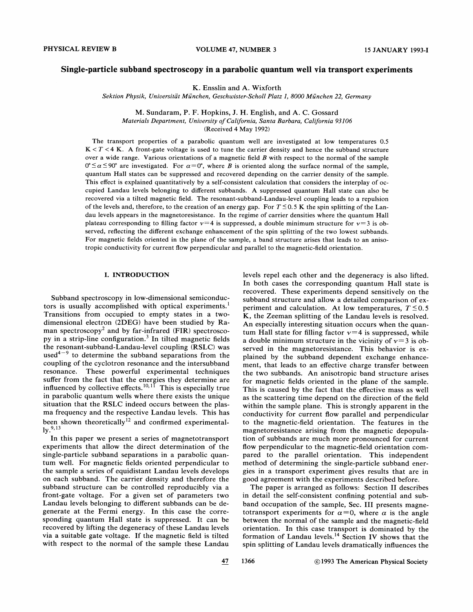#### Single-particle subband spectroscopy in a parabolic quantum well via transport experiments

K. Ensslin and A. Wixforth

Sektion Physik, Universität München, Geschwister-Scholl Platz 1, 8000 München 22, Germany

M. Sundaram, P. F. Hopkins, J. H. English, and A. C. Gossard Materials Department, University of California, Santa Barbara, California 93106 (Received 4 May 1992)

The transport properties of a parabolic quantum well are investigated at low temperatures 0.5  $K < T < 4 K$ . A front-gate voltage is used to tune the carrier density and hence the subband structure over a wide range. Various orientations of a magnetic field  $B$  with respect to the normal of the sample  $0°\leq \alpha \leq 90°$  are investigated. For  $\alpha=0°$ , where B is oriented along the surface normal of the sample, quantum Hall states can be suppressed and recovered depending on the carrier density of the sample. This effect is explained quantitatively by a self-consistent calculation that considers the interplay of occupied Landau levels belonging to different subbands. A suppressed quantum Hall state can also be recovered via a tilted magnetic field. The resonant-subband-Landau-level coupling leads to a repulsion of the levels and, therefore, to the creation of an energy gap. For  $T \le 0.5$  K the spin splitting of the Landau levels appears in the magnetoresistance. In the regime of carrier densities where the quantum Hall plateau corresponding to filling factor  $v=4$  is suppressed, a double minimum structure for  $v=3$  is observed, reflecting the different exchange enhancement of the spin splitting of the two lowest subbands. For magnetic fields oriented in the plane of the sample, a band structure arises that leads to an anisotropic conductivity for current flow perpendicular and parallel to the magnetic-field orientation.

#### I. INTRODUCTION

Subband spectroscopy in low-dimensional semiconductors is usually accomplished with optical experiments. Transitions from occupied to empty states in a twodimensional electron (2DEG) have been studied by Raman spectroscopy<sup>2</sup> and by far-infrared (FIR) spectroscopy in a strip-line configuration.<sup>3</sup> In tilted magnetic fields the resonant-subband-Landau-level coupling (RSLC) was used<sup> $4-9$ </sup> to determine the subband separations from the coupling of the cyclotron resonance and the intersubband resonance. These powerful experimental techniques suffer from the fact that the energies they determine are influenced by collective effects.<sup>10,11</sup> This is especially true in parabolic quantum wells where there exists the unique situation that the RSLC indeed occurs between the plasma frequency and the respective Landau levels. This has been shown theoretically<sup>12</sup> and confirmed experimental- $1v^{9,13}$ 

In this paper we present a series of magnetotransport experiments that allow the direct determination of the single-particle subband separations in a parabolic quantum well. For magnetic fields oriented perpendicular to the sample a series of equidistant Landau levels develops on each subband. The carrier density and therefore the subband structure can be controlled reproducibly via a front-gate voltage. For a given set of parameters two Landau levels belonging to different subbands can be degenerate at the Fermi energy. In this case the corresponding quantum Hall state is suppressed. It can be recovered by lifting the degeneracy of these Landau levels via a suitable gate voltage. If the magnetic field is tilted with respect to the normal of the sample these Landau levels repel each other and the degeneracy is also lifted. In both cases the corresponding quantum Hall state is recovered. These experiments depend sensitively on the subband structure and allow a detailed comparison of experiment and calculation. At low temperatures,  $T \le 0.5$ K, the Zeeman splitting of the Landau levels is resolved. An especially interesting situation occurs when the quantum Hall state for filling factor  $v=4$  is suppressed, while a double minimum structure in the vicinity of  $v=3$  is observed in the magnetoresistance. This behavior is explained by the subband dependent exchange enhancement, that leads to an effective charge transfer between the two subbands. An anisotropic band structure arises for magnetic fields oriented in the plane of the sample. This is caused by the fact that the effective mass as well as the scattering time depend on the direction of the field within the sample plane. This is strongly apparent in the conductivity for current flow parallel and perpendicular to the magnetic-field orientation. The features in the magnetoresistance arising from the magnetic depopulation of subbands are much more pronounced for current flow perpendicular to the magnetic-field orientation compared to the parallel orientation. This independent method of determining the single-particle subband energies in a transport experiment gives results that are in good agreement with the experiments described before.

The paper is arranged as follows: Section II describes in detail the self-consistent confining potential and subband occupation of the sample, Sec. III presents magnetotransport experiments for  $\alpha=0$ , where  $\alpha$  is the angle between the normal of the sample and the magnetic-field orientation. In this case transport is dominated by the formation of Landau levels.<sup>14</sup> Section IV shows that the spin splitting of Landau levels dramatically influences the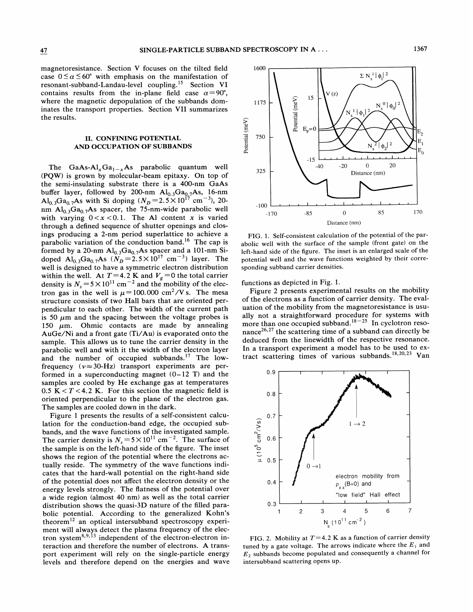magnetoresistance. Section V focuses on the tilted field case  $0 \le \alpha \le 60^{\circ}$  with emphasis on the manifestation of resonant-subband-Landau-level coupling.<sup>15</sup> Section VI contains results from the in-plane field case  $\alpha = 90^{\circ}$ , where the magnetic depopulation of the subbands dominates the transport properties. Section VII summarizes the results.

# II. CONFINING POTENTIAL AND OCCUPATION OF SUBBANDS

The GaAs-Al<sub>x</sub>Ga<sub>1-x</sub>As parabolic quantum well (PQW) is grown by molecular-beam epitaxy. On top of the semi-insulating substrate there is a 400-nm GaAs buffer layer, followed by 200-nm  $Al_{0.3}Ga_{0.7}As$ , 16-nm  $Al_{0.3}Ga_{0.7}As$  with Si doping  $(N_D=2.5\times10^{17} \text{ cm}^{-3})$ , 20nm  $Al_{0,3}Ga_{0,7}As$  spacer, the 75-nm-wide parabolic well with varying  $0 < x < 0.1$ . The Al content x is varied through a defined sequence of shutter openings and closings producing a 2-nm period superlattice to achieve a parabolic variation of the conduction band.<sup>16</sup> The cap is formed by a 20-nm  $Al_{0.3}Ga_{0.7}As$  spacer and a 101-nm Sidoped Al<sub>0.3</sub>Ga<sub>0.7</sub>As ( $N_D = 2.5 \times 10^{17}$  cm<sup>-3</sup>) layer. The well is designed to have a symmetric electron distribution within the well. At  $T=4.2$  K and  $V_g=0$  the total carrier density is  $N_s = 5 \times 10^{11}$  cm<sup>-2</sup> and the mobility of the electron gas in the well is  $\mu = 100.000 \text{ cm}^2/V$  s. The mesa structure consists of two Hall bars that are oriented perpendicular to each other. The width of the current path is 50  $\mu$ m and the spacing between the voltage probes is 150  $\mu$ m. Ohmic contacts are made by annealing AuGe/Ni and a front gate (Ti/Au) is evaporated onto the sample. This allows us to tune the carrier density in the parabolic well and with it the width of the electron layer and the number of occupied subbands.<sup>17</sup> The lowfrequency  $(v \approx 30$ -Hz) transport experiments are performed in a superconducting magnet  $(0-12)$  T) and the samples are cooled by He exchange gas at temperatures  $0.5$  K < T < 4.2 K. For this section the magnetic field is oriented perpendicular to the plane of the electron gas. The samples are cooled down in the dark.

Figure <sup>1</sup> presents the results of a self-consistent calculation for the conduction-band edge, the occupied subbands, and the wave functions of the investigated sample. The carrier density is  $N_s = 5 \times 10^{11}$  cm<sup>-2</sup>. The surface of the sample is on the left-hand side of the figure. The inset shows the region of the potential where the electrons actually reside. The symmetry of the wave functions indicates that the hard-wall potential on the right-hand side of the potential does not affect the electron density or the energy levels strongly. The fatness of the potential over a wide region (almost 40 nm) as well as the total carrier distribution shows the quasi-3D nature of the filled parabolic potential. According to the generalized Kohn's theorem<sup>12</sup> an optical intersubband spectroscopy experiment will always detect the plasma frequency of the electron system<sup>8,9,13</sup> independent of the electron-electron intron system<sup>8,9,13</sup> independent of the electron-electron interaction and therefore the number of electrons. A transport experiment will rely on the single-particle energy levels and therefore depend on the energies and wave



FIG. 1. Self-consistent calculation of the potential of the parabolic well with the surface of the sample (front gate) on the left-hand side of the figure. The inset is an enlarged scale of the potential well and the wave functions weighted by their corresponding subband carrier densities.

functions as depicted in Fig. 1.

Figure 2 presents experimental results on the mobility of the electrons as a function of carrier density. The evaluation of the mobility from the magnetoresistance is usually not a straightforward procedure for systems with more than one occupied subband. $18-25$  In cyclotron resonance  $26,27$  the scattering time of a subband can directly be deduced from the linewidth of the respective resonance. In a transport experiment a model has to be used to extract scattering times of various subbands.<sup>18,20,23</sup> Van



FIG. 2. Mobility at  $T=4.2$  K as a function of carrier density tuned by a gate voltage. The arrows indicate where the  $E_1$  and  $E<sub>2</sub>$  subbands become populated and consequently a channel for intersubband scattering opens up.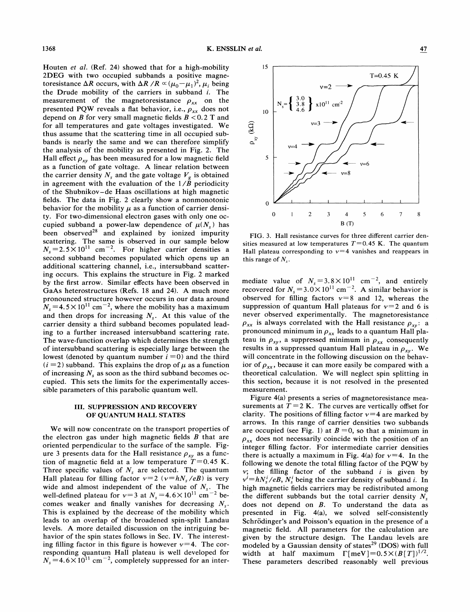Houten et al. (Ref. 24) showed that for a high-mobility 2DEG with two occupied subbands a positive magnetoresistance  $\Delta R$  occurs, with  $\Delta R / R \propto (\mu_0 - \mu_1)^2$ ,  $\mu_i$  being the Drude mobility of the carriers in subband i. The measurement of the magnetoresistance  $\rho_{xx}$  on the presented PQW reveals a flat behavior, i.e.,  $\rho_{xx}$  does not depend on B for very small magnetic fields  $B < 0.2$  T and for all temperatures and gate voltages investigated. We thus assume that the scattering time in all occupied subbands is nearly the same and we can therefore simplify the analysis of the mobility as presented in Fig. 2. The Hall effect  $\rho_{xy}$  has been measured for a low magnetic field as a function of gate voltage. A linear relation between the carrier density  $N_s$  and the gate voltage  $V_g$  is obtained in agreement with the evaluation of the  $1/\tilde{B}$  periodicity of the Shubnikov —de Haas oscillations at high magnetic fields. The data in Fig. 2 clearly show a nonmonotonic behavior for the mobility  $\mu$  as a function of carrier density. For two-dimensional electron gases with only one occupied subband a power-law dependence of  $\mu(N_s)$  has been observed $^{28}$  and explained by ionized impurity scattering. The same is observed in our sample below  $N_s = 2.5 \times 10^{11}$  cm<sup>-2</sup>. For higher carrier densities a second subband becomes populated which opens up an additional scattering channel, i.e., intersubband scattering occurs. This explains the structure in Fig. 2 marked by the first arrow. Similar effects have been observed in GaAs heterostructures (Refs. 18 and 24). A much more pronounced structure however occurs in our data around  $N_s = 4.5 \times 10^{11}$  cm<sup>-2</sup>, where the mobility has a maximum and then drops for increasing  $N<sub>s</sub>$ . At this value of the carrier density a third subband becomes populated leading to a further increased intersubband scattering rate. The wave-function overlap which determines the strength of intersubband scattering is especially large between the lowest (denoted by quantum number  $i = 0$ ) and the third  $(i = 2)$  subband. This explains the drop of  $\mu$  as a function of increasing  $N_s$  as soon as the third subband becomes occupied. This sets the limits for the experimentally accessible parameters of this parabolic quantum well.

### III. SUPPRESSION AND RECOVERY OF QUANTUM HALL STATES

We will now concentrate on the transport properties of the electron gas under high magnetic fields  $B$  that are oriented perpendicular to the surface of the sample. Figure 3 presents data for the Hall resistance  $\rho_{xy}$  as a function of magnetic field at a low temperature  $T=0.45$  K. Three specific values of  $N<sub>s</sub>$  are selected. The quantum Hall plateau for filling factor  $v=2$  ( $v=hN_s/eB$ ) is very wide and almost independent of the value of  $N<sub>s</sub>$ . The well-defined plateau for  $v=3$  at  $N_s = 4.6 \times 10^{11}$  cm<sup>-2</sup> becomes weaker and finally vanishes for decreasing  $N<sub>s</sub>$ . This is explained by the decrease of the mobility which leads to an overlap of the broadened spin-split Landau levels. A more detailed discussion on the intriguing behavior of the spin states follows in Sec. IV. The interesting filling factor in this figure is however  $v=4$ . The corresponding quantum Hall plateau is well developed for  $N_s = 4.6 \times 10^{11}$  cm<sup>-2</sup>, completely suppressed for an inter-



FIG. 3. Hall resistance curves for three diferent carrier densities measured at low temperatures  $T=0.45$  K. The quantum Hall plateau corresponding to  $v=4$  vanishes and reappears in this range of  $N_s$ .

mediate value of  $N_s = 3.8 \times 10^{11}$  cm<sup>-2</sup>, and entirely recovered for  $N_s = 3.0 \times 10^{11}$  cm<sup>-2</sup>. A similar behavior is observed for filling factors  $v=8$  and 12, whereas the suppression of quantum Hall plateaus for  $v=2$  and 6 is never observed experimentally. The magnetoresistance  $\rho_{xx}$  is always correlated with the Hall resistance  $\rho_{xy}$ : a pronounced minimum in  $\rho_{xx}$  leads to a quantum Hall plateau in  $\rho_{xy}$ , a suppressed minimum in  $\rho_{xx}$  consequently results in a suppressed quantum Hall plateau in  $\rho_{xy}$ . We will concentrate in the following discussion on the behavior of  $\rho_{xx}$ , because it can more easily be compared with a theoretical calculation. We will neglect spin splitting in this section, because it is not resolved in the presented measurement.

Figure 4(a) presents a series of magnetoresistance measurements at  $T = 2 K$ . The curves are vertically offset for clarity. The positions of filling factor  $v=4$  are marked by arrows. In this range of carrier densities two subbands are occupied (see Fig. 1) at  $B = 0$ , so that a minimum in  $\rho_{xx}$  does not necessarily coincide with the position of an integer filling factor. For intermediate carrier densities there is actually a maximum in Fig. 4(a) for  $v=4$ . In the following we denote the total filling factor of the PQW by  $v$ ; the filling factor of the subband  $i$  is given by  $v^i = h N_s^i / eB$ ,  $N_s^i$  being the carrier density of subband i. In high magnetic fields carriers may be redistributed among the different subbands but the total carrier density  $N<sub>s</sub>$ does not depend on  $B$ . To understand the data as presented in Fig. 4(a), we solved self-consistently Schrödinger's and Poisson's equation in the presence of a magnetic field. All parameters for the calculation are given by the structure design. The Landau levels are modeled by a Gaussian density of states $^{29}$  (DOS) with full width at half maximum  $\Gamma$ [meV]=0.5×(B[T])<sup>1/2</sup>. These parameters described reasonably well previous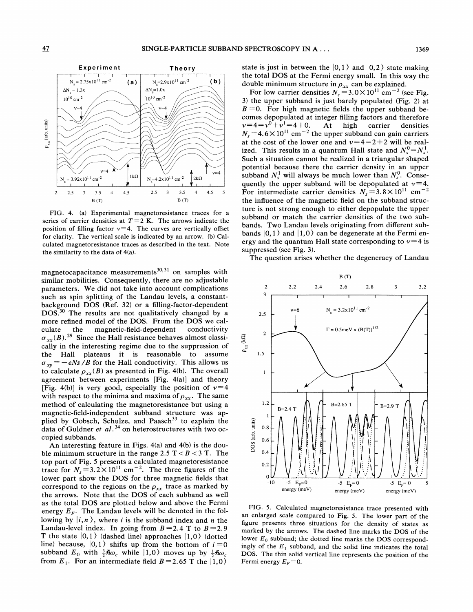

FIG. 4. (a) Experimental magnetoresistance traces for a series of carrier densities at  $T=2$  K. The arrows indicate the position of filling factor  $v=4$ . The curves are vertically offset for clarity. The vertical scale is indicated by an arrow. (b) Calculated magnetoresistance traces as described in the text. Note the similarity to the data of 4(a).

magnetocapacitance measurements $^{30,31}$  on samples with similar mobilities. Consequently, there are no adjustable parameters. We did not take into account complications such as spin splitting of the Landau levels, a constantbackground DOS (Ref. 32) or a filling-factor-dependent DOS.<sup>30</sup> The results are not qualitatively changed by a more refined model of the DOS. From the DOS we calculate the magnetic-field-dependent conductivity  $\sigma_{rr}(B)$ . <sup>29</sup> Since the Hall resistance behaves almost classically in the interesting regime due to the suppression of the Hall plateaus it is reasonable to assume  $\sigma_{xy} = -eNs/B$  for the Hall conductivity. This allows us to calculate  $\rho_{rr}(B)$  as presented in Fig. 4(b). The overall agreement between experiments [Fig.  $4(a)$ ] and theory [Fig. 4(b)] is very good, especially the position of  $v=4$ with respect to the minima and maxima of  $\rho_{xx}$ . The same method of calculating the magnetoresistance but using a magnetic-field-independent subband structure was applied by Gobsch, Schulze, and Paasch<sup>33</sup> to explain the data of Guldner et  $al.^{34}$  on heterostructures with two occupied subbands.

An interesting feature in Figs. 4(a) and 4(b) is the double minimum structure in the range 2.5  $T < B < 3$  T. The top part of Fig. 5 presents a calculated magnetoresistance trace for  $N_s = 3.2 \times 10^{11}$  cm<sup>-2</sup>. The three figures of the lower part show the DOS for three magnetic fields that correspond to the regions on the  $\rho_{xx}$  trace as marked by the arrows. Note that the DOS of each subband as well as the total DOS are plotted below and above the Fermi energy  $E_F$ . The Landau levels will be denoted in the following by  $|i, n \rangle$ , where i is the subband index and n the Landau-level index. In going from  $B=2.4$  T to  $B=2.9$ T the state  $|0, 1\rangle$  (dashed line) approaches  $|1, 0\rangle$  (dotted line) because,  $|0,1\rangle$  shifts up from the bottom of  $i = 0$ subband  $E_0$  with  $\frac{3}{2}\hbar\omega_c$  while  $|1,0\rangle$  moves up by  $\frac{1}{2}\hbar\omega_c$ from  $E_1$ . For an intermediate field  $B=2.65$  T the  $|1,0\rangle$ 

state is just in between the  $|0, 1\rangle$  and  $|0, 2\rangle$  state making the total DOS at the Fermi energy small. In this way the double minimum structure in  $\rho_{xx}$  can be explained.

For low carrier densities  $N_s = 3.0 \times 10^{11}$  cm<sup>-2</sup> (see Fig. 3) the upper subband is just barely populated (Fig. 2) at  $B = 0$ . For high magnetic fields the upper subband becomes depopulated at integer filling factors and therefore  $v=4=v^0+v^1=4+0$ . At high carrier densities  $N_s = 4.6 \times 10^{11}$  cm<sup>-2</sup> the upper subband can gain carriers at the cost of the lower one and  $v=4=2+2$  will be realized. This results in a quantum Hall state and  $N_c^0 = N_c^1$ . Such a situation cannot be realized in a triangular shaped potential because there the carrier density in an upper subband  $N_s^1$  will always be much lower than  $N_s^0$ . Consequently the upper subband will be depopulated at  $v=4$ . For intermediate carrier densities  $N_s = 3.8 \times 10^{11}$  cm<sup>-2</sup> the influence of the magnetic field on the subband structure is not strong enough to either depopulate the upper subband or match the carrier densities of the two subbands. Two Landau levels originating from different subbands  $|0, 1\rangle$  and  $|1, 0\rangle$  can be degenerate at the Fermi energy and the quantum Hall state corresponding to  $v=4$  is suppressed (see Fig. 3).

The question arises whether the degeneracy of Landau



FIG. 5. Calculated magnetoresistance trace presented with an enlarged scale compared to Fig. 5. The lower part of the figure presents three situations for the density of states as marked by the arrows. The dashed line marks the DOS of the lower  $E_0$  subband; the dotted line marks the DOS correspondingly of the  $E_1$  subband, and the solid line indicates the total DOS. The thin solid vertical line represents the position of the Fermi energy  $E_F=0$ .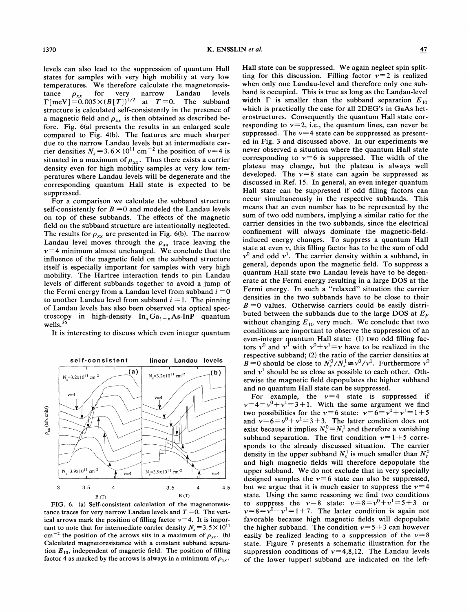levels can also lead to the suppression of quantum Hall states for samples with very high mobility at very low temperatures. We therefore calculate the magnetoresistance  $\rho_{xx}$  for very narrow Landau levels<br>  $\Gamma[\text{meV}] = 0.005 \times (B[T])^{1/2}$  at  $T=0$ . The subband structure is calculated self-consistently in the presence of a magnetic field and  $\rho_{xx}$  is then obtained as described before. Fig. 6(a) presents the results in an enlarged scale compared to Fig. 4(b). The features are much sharper due to the narrow Landau levels but at intermediate carrier densities  $N_s = 3.6 \times 10^{11}$  cm<sup>-2</sup> the position of  $v = 4$  is situated in a maximum of  $\rho_{xx}$ . Thus there exists a carrier density even for high mobility samples at very low temperatures where Landau levels will be degenerate and the corresponding quantum Hall state is expected to be suppressed.

For a comparison we calculate the subband structure self-consistently for  $B = 0$  and modeled the Landau levels on top of these subbands. The effects of the magnetic field on the subband structure are intentionally neglected. The results for  $\rho_{xx}$  are presented in Fig. 6(b). The narrow Landau level moves through the  $\rho_{xx}$  trace leaving the  $v=4$  minimum almost unchanged. We conclude that the infiuence of the magnetic field on the subband structure itself is especially important for samples with very high mobility. The Hartree interaction tends to pin Landau levels of different subbands together to avoid a jump of the Fermi energy from a Landau level from subband  $i = 0$ to another Landau level from subband  $i = 1$ . The pinning of Landau levels has also been observed via optical spectroscopy in high-density  $In_xGa_{1-x}As-InP$  quantum wells. $35$ 

It is interesting to discuss which even integer quantum



FIG. 6. (a} Self-consistent calculation of the magnetoresistance traces for very narrow Landau levels and  $T=0$ . The vertical arrows mark the position of filling factor  $v=4$ . It is important to note that for intermediate carrier density  $N_s = 3.5 \times 10^{11}$ cm<sup>-2</sup> the position of the arrows sits in a maximum of  $\rho_{xx}$ . (b) Calculated magnetoresistance with a constant subband separation  $E_{10}$ , independent of magnetic field. The position of filling factor 4 as marked by the arrows is always in a minimum of  $\rho_{xx}$ .

Hall state can be suppressed. We again neglect spin splitting for this discussion. Filling factor  $v=2$  is realized when only one Landau-level and therefore only one subband is occupied. This is true as long as the Landau-level width  $\Gamma$  is smaller than the subband separation  $E_{10}$ which is practically the case for all 2DEG's in GaAs heterostructures. Consequently the quantum Hall state corresponding to  $v=2$ , i.e., the quantum lines, can never be suppressed. The  $\nu=4$  state can be suppressed as presented in Fig. 3 and discussed above. In our experiments we never observed a situation where the quantum Hall state corresponding to  $v=6$  is suppressed. The width of the plateau may change, but the plateau is always well developed. The  $v=8$  state can again be suppressed as discussed in Ref. 15. In general, an even integer quantum Hall state can be suppressed if odd filling factors can occur simultaneously in the respective subbands. This means that an even number has to be represented by the sum of two odd numbers, implying a similar ratio for the carrier densities in the two subbands, since the electrical confinement will always dominate the magnetic-fieldinduced energy changes. To suppress a quantum Hall state at even  $\nu$ , this filling factor has to be the sum of odd  $v^0$  and odd  $v^1$ . The carrier density within a subband, in general, depends upon the magnetic field. To suppress a quantum Hall state two Landau levels have to be degenerate at the Fermi energy resulting in a large DOS at the Fermi energy. In such a "relaxed" situation the carrier densities in the two subbands have to be close to their  $B = 0$  values. Otherwise carriers could be easily distributed between the subbands due to the large DOS at  $E_F$ without changing  $E_{10}$  very much. We conclude that two conditions are important to observe the suppression of an even-integer quantum Hall state: (1) two odd filling fac-<br>ors  $v^0$  and  $v^1$  with  $v^0 + v^1 = v$  have to be realized in the respective subband; (2) the ratio of the carrier densities at espective subband; (2) the ratio of the carrier densities at  $B = 0$  should be close to  $N_s^0/N_s^1 \cong v^0/v^1$ . Furthermore  $v^0$ and  $v<sup>1</sup>$  should be as close as possible to each other. Otherwise the magnetic field depopulates the higher subband and no quantum Hall state can be suppressed.

For example, the  $v=4$  state is suppressed if  $v=4=v^0+v^1=3+1$ . With the same argument we find two possibilities for the  $v=6$  state:  $v=6=v^0+v^1=1+5$ and  $v=6=v^0+v^1=3+3$ . The latter condition does not exist because it implies  $N_s^0 = N_s^1$  and therefore a vanishing subband separation. The first condition  $v=1+5$  corresponds to the already discussed situation. The carrier density in the upper subband  $N_s^1$  is much smaller than  $N_s^0$ and high magnetic fields will therefore depopulate the upper subband. We do not exclude that in very specially designed samples the  $v=6$  state can also be suppressed, but we argue that it is much easier to suppress the  $v=4$ state. Using the same reasoning we find two conditions to suppress the  $v=8$  state:  $v=8=v^0+v^1=5+3$  or  $v=8=v^0+v^1=1+7$ . The latter condition is again not favorable because high magnetic fields will depopulate the higher subband. The condition  $v=5+3$  can however easily be realized leading to a suppression of the  $v=8$ state. Figure 7 presents a schematic illustration for the suppression conditions of  $v=4, 8, 12$ . The Landau levels of the lower (upper) subband are indicated on the left-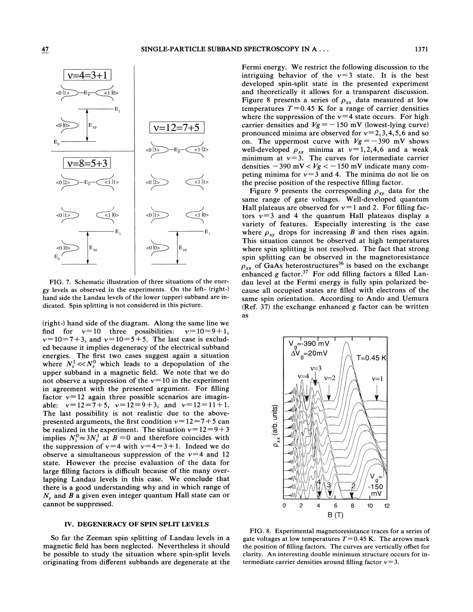

FIG. 7. Schematic illustration of three situations of the energy levels as observed in the experiments. On the left- (right-) hand side the Landau levels of the lower (upper) subband are indicated. Spin splitting is not considered in this picture.

(right-) hand side of the diagram. Along the same line we the find for  $v=10$  three possibilities:  $v=10=9+1$ ,  $v=10=7+3$ , and  $v=10=5+5$ . The last case is excluded because it implies degeneracy of the electrical subband energies. The first two cases suggest again a situation where  $N_s^1 \ll N_s^0$  which leads to a depopulation of the upper subband in a magnetic field. We note that we do not observe a suppression of the  $v=10$  in the experiment in agreement with the presented argument. For filling factor  $v=12$  again three possible scenarios are imaginable:  $v=12=7+5$ ,  $v=12=9+3$ , and  $v=12=11+1$ . The last possibility is not realistic due to the abovepresented arguments, the first condition  $v= 12=7+5$  can be realized in the experiment. The situation  $v=12=9+3$ implies  $N_s^0 \approx 3N_s^1$  at  $B = 0$  and therefore coincides with the suppression of  $v=4$  with  $v=4=3+1$ . Indeed we do observe a simultaneous suppression of the  $v=4$  and 12 state. However the precise evaluation of the data for large filling factors is difficult because of the many overlapping Landau levels in this case. We conclude that there is a good understanding why and in which range of  $N_s$  and  $B$  a given even integer quantum Hall state can or cannot be suppressed.

### IV. DEGENERACY OF SPIN SPLIT LEVELS

So far the Zeeman spin splitting of Landau levels in a magnetic field has been neglected. Nevertheless it should be possible to study the situation where spin-split levels originating from different subbands are degenerate at the Fermi energy. We restrict the following discussion to the intriguing behavior of the  $v=3$  state. It is the best developed spin-split state in the presented experiment and theoretically it allows for a transparent discussion. Figure 8 presents a series of  $\rho_{xx}$  data measured at low temperatures  $T=0.45$  K for a range of carrier densities where the suppression of the  $v=4$  state occurs. For high carrier densities and  $Vg = -150$  mV (lowest-lying curve) pronounced minima are observed for  $v=2, 3, 4, 5, 6$  and so on. The uppermost curve with  $Vg = -390$  mV shows well-developed  $\rho_{xx}$  minima at  $v=1, 2, 4, 6$  and a weak minimum at  $v=3$ . The curves for intermediate carrier densities  $-390$  mV <  $Vg$  <  $-150$  mV indicate many competing minima for  $v=3$  and 4. The minima do not lie on the precise position of the respective filling factor.

Figure 9 presents the corresponding  $\rho_{xy}$  data for the same range of gate voltages. Well-developed quantum Hall plateaus are observed for  $v=1$  and 2. For filling factors  $v=3$  and 4 the quantum Hall plateaus display a variety of features. Especially interesting is the case where  $\rho_{xy}$  drops for increasing B and then rises again. This situation cannot be observed at high temperatures where spin splitting is not resolved. The fact that strong spin splitting can be observed in the magnetoresistance  $p_{xx}$  of GaAs heterostructures<sup>36</sup> is based on the exchange enhanced g factor.<sup>37</sup> For odd filling factors a filled Landau level at the Fermi energy is fully spin polarized because all occupied states are filled with electrons of the same spin orientation. According to Ando and Uemura (Ref. 37) the exchange enhanced g factor can be written as



FIG. 8. Experimental magnetoresistance traces for a series of gate voltages at low temperatures  $T=0.45$  K. The arrows mark the position of filling factors. The curves are vertically offset for clarity. An interesting double minimum structure occurs for intermediate carrier densities around filling factor  $v=3$ .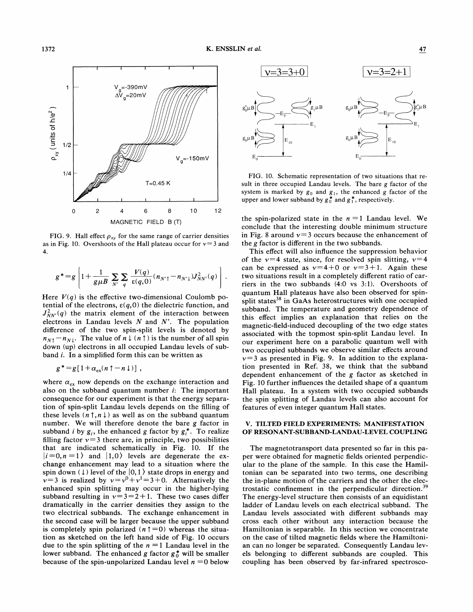O (0

o.~





FIG. 9. Hall effect  $\rho_{xy}$  for the same range of carrier densities as in Fig. 10. Overshoots of the Hall plateau occur for  $v=3$  and 4

$$
g^* = g \left[ 1 + \frac{1}{g \mu B} \sum_{N'} \sum_{q} \frac{V(q)}{\varepsilon(q,0)} (n_{N'} - n_{N'} \mu) J_{NN'}^2(q) \right].
$$

Here  $V(q)$  is the effective two-dimensional Coulomb potential of the electrons,  $\varepsilon(q, 0)$  the dielectric function, and  $J_{NN'}^2(q)$  the matrix element of the interaction between electrons in Landau levels  $N$  and  $N'$ . The population difference of the two spin-split levels is denoted by  $n_{N\uparrow} - n_{N\downarrow}$ . The value of  $n \downarrow (n \uparrow)$  is the number of all spin down (up) electrons in all occupied Landau levels of subband i. In a simplified form this can be written as

$$
g^* = g[1 + \alpha_{\rm ex}(n\uparrow - n\downarrow)] ,
$$

where  $\alpha_{ex}$  now depends on the exchange interaction and also on the subband quantum number  $i$ : The important consequence for our experiment is that the energy separation of spin-split Landau levels depends on the filling of these levels  $(n \uparrow, n \downarrow)$  as well as on the subband quantum number. We will therefore denote the bare g factor in subband *i* by  $g_i$ , the enhanced g factor by  $g_i^*$ . To realize filling factor  $v=3$  there are, in principle, two possibilities that are indicated schematically in Fig. 10. If the  $|i=0, n = 1$  and  $|1,0\rangle$  levels are degenerate the exchange enhancement may lead to a situation where the spin down ( $\downarrow$ ) level of the  $|0,1\rangle$  state drops in energy and  $v=3$  is realized by  $v=v^0+v^1=3+0$ . Alternatively the enhanced spin splitting may occur in the higher-lying subband resulting in  $v=3=2+1$ . These two cases differ dramatically in the carrier densities they assign to the two electrical subbands. The exchange enhancement in the second case will be larger because the upper subband is completely spin polarized  $(n \uparrow = 0)$  whereas the situation as sketched on the left hand side of Fig. 10 occurs due to the spin splitting of the  $n = 1$  Landau level in the lower subband. The enhanced g factor  $g_0^*$  will be smaller because of the spin-unpolarized Landau level  $n = 0$  below



FIG. 10. Schematic representation of two situations that result in three occupied Landau levels. The bare g factor of the system is marked by  $g_0$  and  $g_1$ , the enhanced g factor of the upper and lower subband by  $g_0^*$  and  $g_1^*$ , respectively.

the spin-polarized state in the  $n = 1$  Landau level. We conclude that the interesting double minimum structure in Fig. 8 around  $v=3$  occurs because the enhancement of the g factor is different in the two subbands.

This effect will also infIuence the suppression behavior of the  $v=4$  state, since, for resolved spin slitting,  $v=4$ can be expressed as  $v=4+0$  or  $v=3+1$ . Again these two situations result in a completely different ratio of carriers in the two subbands (4:0 vs 3:1). Overshoots of quantum Hall plateaus have also been observed for spinsplit states $^{38}$  in GaAs heterostructures with one occupied subband. The temperature and geometry dependence of this effect implies an explanation that relies on the magnetic-field-induced decoupling of the two edge states associated with the topmost spin-split Landau level. In our experiment here on a parabolic quantum well with two occupied subbands we observe similar effects around  $v=3$  as presented in Fig. 9. In addition to the explanation presented in Ref. 38, we think that the subband dependent enhancement of the g factor as sketched in Fig. 10 further influences the detailed shape of a quantum Hall plateau. In a system with two occupied subbands the spin splitting of Landau levels can also account for features of even integer quantum Hall states.

# V. TILTED FIELD EXPERIMENTS: MANIFESTATION OF RESONANT-SUBBAND-LANDAU-LEVEL COUPLING

The magnetotransport data presented so far in this paper were obtained for magnetic fields oriented perpendicular to the plane of the sample. In this case the Hamiltonian can be separated into two terms, one describing the in-plane motion of the carriers and the other the electrostatic confinement in the perpendicular direction.<sup>39</sup> The energy-level structure then consists of an equidistant ladder of Landau levels on each electrical subband. The Landau levels associated with different subbands may cross each other without any interaction because the Hamiltonian is separable. In this section we concentrate on the case of tilted magnetic fields where the Hamiltonian can no longer be separated. Consequently Landau levels belonging to different subbands are coupled. This coupling has been observed by far-infrared spectrosco-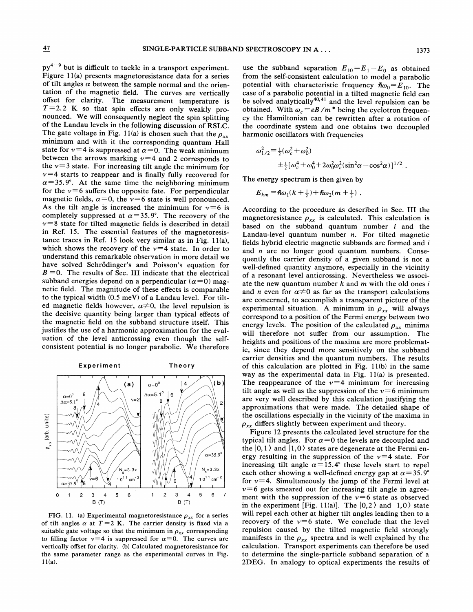$py^{4-9}$  but is difficult to tackle in a transport experiment. Figure 11(a) presents magnetoresistance data for a series of tilt angles  $\alpha$  between the sample normal and the orientation of the magnetic field. The curves are vertically offset for clarity. The measurement temperature is  $T=2.2$  K so that spin effects are only weakly pronounced. We will consequently neglect the spin splitting of the Landau levels in the following discussion of RSLC. The gate voltage in Fig. 11(a) is chosen such that the  $\rho_{xx}$ minimum and with it the corresponding quantum Hall state for  $\nu=4$  is suppressed at  $\alpha=0$ . The weak minimum between the arrows marking  $v=4$  and 2 corresponds to the  $v=3$  state. For increasing tilt angle the minimum for  $v=4$  starts to reappear and is finally fully recovered for  $\alpha$ =35.9°. At the same time the neighboring minimum for the  $v=6$  suffers the opposite fate. For perpendicular magnetic fields,  $\alpha=0$ , the  $\nu=6$  state is well pronounced. As the tilt angle is increased the minimum for  $v=6$  is completely suppressed at  $\alpha$ =35.9°. The recovery of the  $v=8$  state for tilted magnetic fields is described in detail in Ref. 15. The essential features of the magnetoresistance traces in Ref. 15 look very similar as in Fig. 11(a), which shows the recovery of the  $v=4$  state. In order to understand this remarkable observation in more detail we have solved Schrödinger's and Poisson's equation for  $B = 0$ . The results of Sec. III indicate that the electrical subband energies depend on a perpendicular ( $\alpha=0$ ) magnetic field. The magnitude of these effects is comparable to the typical width (0.5 meV) of a Landau level. For tilted magnetic fields however,  $\alpha \neq 0$ , the level repulsion is the decisive quantity being larger than typical effects of the magnetic field on the subband structure itself. This justifies the use of a harmonic approximation for the evaluation of the level anticrossing even though the selfconsistent potential is no longer parabolic. We therefore



FIG. 11. (a) Experimental magnetoresistance  $\rho_{xx}$  for a series of tilt angles  $\alpha$  at  $T=2$  K. The carrier density is fixed via a suitable gate voltage so that the minimum in  $\rho_{xx}$  corresponding to filling factor  $v=4$  is suppressed for  $\alpha=0$ . The curves are vertically offset for clarity. (b) Calculated magnetoresistance for the same parameter range as the experimental curves in Fig. 11(a).

use the subband separation  $E_{10} = E_1 - E_0$  as obtained from the self-consistent calculation to model a parabolic potential with characteristic frequency  $\hbar \omega_0=E_{10}$ . The case of a parabolic potential in a tilted magnetic field can be solved analytically  $40,41$  and the level repulsion can be be solved analytically and the level repulsion can be obtained. With  $\omega_c = eB/m^*$  being the cyclotron frequency the Hamiltonian can be rewritten after a rotation of the coordinate system and one obtains two decoupled harmonic oscillators with frequencies

$$
\omega_{1/2}^2 = \frac{1}{2} (\omega_c^2 + \omega_0^2)
$$
  
 
$$
\pm \frac{1}{2} [\omega_c^4 + \omega_0^4 + 2\omega_0^2 \omega_c^2 (\sin^2 \alpha - \cos^2 \alpha)]^{1/2}.
$$

The energy spectrum is then given by

$$
E_{km} = \hbar \omega_1 (k + \frac{1}{2}) + \hbar \omega_2 (m + \frac{1}{2})
$$

According to the procedure as described in Sec. III the magnetoresistance  $\rho_{xx}$  is calculated. This calculation is based on the subband quantum number i and the Landau-level quantum number  $n$ . For tilted magnetic fields hybrid electric magnetic subbands are formed and  $i$ and  $n$  are no longer good quantum numbers. Consequently the carrier density of a given subband is not a well-defined quantity anymore, especially in the vicinity of a resonant level anticrossing. Nevertheless we associate the new quantum number  $k$  and  $m$  with the old ones i and *n* even for  $\alpha \neq 0$  as far as the transport calculations are concerned, to accomplish a transparent picture of the experimental situation. A minimum in  $\rho_{xx}$  will always correspond to a position of the Fermi energy between two energy levels. The position of the calculated  $\rho_{xx}$  minima will therefore not suffer from our assumption. The heights and positions of the maxima are more problematic, since they depend more sensitively on the subband carrier densities and the quantum numbers. The results of this calculation are plotted in Fig. 11(b) in the same way as the experimental data in Fig. 11(a) is presented. The reappearance of the  $v=4$  minimum for increasing tilt angle as well as the suppression of the  $v=6$  minimum are very well described by this calculation justifying the approximations that were made. The detailed shape of the oscillations especially in the vicinity of the maxima in  $\rho_{xx}$  differs slightly between experiment and theory.

Figure 12 presents the calculated level structure for the typical tilt angles. For  $\alpha=0$  the levels are decoupled and the  $|0, 1 \rangle$  and  $|1, 0 \rangle$  states are degenerate at the Fermi energy resulting in the suppression of the  $v=4$  state. For increasing tilt angle  $\alpha$ =15.4° these levels start to repel each other showing a well-defined energy gap at  $\alpha$  = 35.9° for  $v=4$ . Simultaneously the jump of the Fermi level at  $v=6$  gets smeared out for increasing tilt angle in agreement with the suppression of the  $v=6$  state as observed in the experiment [Fig. 11(a)]. The  $|0,2\rangle$  and  $|1,0\rangle$  state will repel each other at higher tilt angles leading then to a recovery of the  $v=6$  state. We conclude that the level repulsion caused by the tilted magnetic field strongly manifests in the  $\rho_{xx}$  spectra and is well explained by the calculation. Transport experiments can therefore be used to determine the single-particle subband separation of a 2DEG. In analogy to optical experiments the results of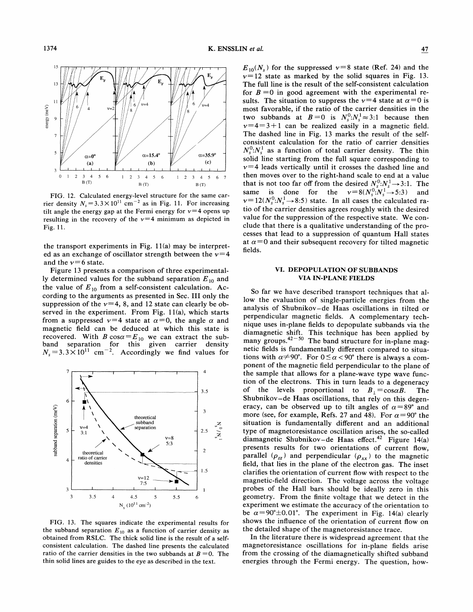

FIG. 12. Calculated energy-level structure for the same car-FIG. 12. Calculated energy-level structure for the same can-<br>rier density  $N_s = 3.3 \times 10^{11} \text{ cm}^{-2}$  as in Fig. 11. For increasing tilt angle the energy gap at the Fermi energy for  $v=4$  opens up Interest angle the energy gap at the Fermi energy for  $v = 4$  opens up<br>resulting in the recovery of the  $v = 4$  minimum as depicted in Fig. 11.

t experiments in Fig. 11(a) may be interpreted as an exchange of oscillator strength between the  $v=4$ and the  $\nu$ =6 state.

Figure 13 presents a comparison of three experimental-<br>ly determined values for the subband separation  $E_{10}$  and the value of  $E_{10}$  from a self-consistent calculation. According to the arguments suppression of the  $\nu=4$ , 8, and 12 state can clearly served in the experiment. From Fig. 11(a), which from a suppressed  $\nu=4$  state at  $\alpha=0$ , the ang magnetic field can be deduced at which this state is band separation for this given carrier density recovered. With  $B \cos \alpha = E_{10}$  we can extract the sub- $N_s = 3.3 \times 10^{11}$  cm<sup>-2</sup>. Accordingly we find values for



FIG. 13. The squares indicate the experimental results for  $E_{10}$  as a function of carrier density m RSLC. The thick solid line is the result consistent calculation. The dashed line presents the cal ratio of the carrier densities in the two subbands at  $B = 0$ . The thin solid lines are guides to the eye as described in the text.

 $E_{10}(N_s)$  for the suppressed  $v=8$  state (Ref. 24) and the  $T_{10}(N_s)$  for the suppressed  $V \rightarrow 8$  state (Ket. 24) and the  $= 12$  state as marked by the solid squares in Fig. 13. The full line is the result of the self-consistent calculation Fire full line is the result of the sen-consistent calculation  $B = 0$  in good agreement with the experimental for  $B = 0$  in good agreement with the experimental results. The situation to suppress the  $v=4$  state at  $\alpha = 0$  is most favorable, if the ratio of the carrier densities in the wo subbands at  $B=0$  is  $N_s^0:N_s^1 \approx 3.1$  $3+1$  can be realized easily in a magnetic field. The dashed line in Fig. 13 marks the result of the selfconsistent calculation for the ratio of carrier densities  $N_s^0$ : $N_s^1$  as a function of total carrier density. The thin blid line starting from the full square corresponding to ly until it crosses the dashed line ar then moves over to the right-hand scale to end at a value<br>that is not too far off from the desired  $N_s^0:N_s^1\rightarrow 3:1$ . The same is done for the is done for the  $v = \delta(N_s : N_s \rightarrow S)$ <br>  $v = 12(N_s^0 : N_s^1 \rightarrow 8)$  state. In all cases the calculate  $f_{11}$ ,  $f_{12}$ ,  $f_{13}$ ,  $f_{15}$ ,  $f_{16}$ ,  $f_{17}$  and  $f_{18}$  are the desired of the carrier densities agrees roughly with the desired value for the suppression of the respective state. We con-Figure for the suppression of the respective state. We con-<br>clude that there is a qualitative understanding of the proesses that lead to a suppression of quantum Hall states and their subsequent recovery for tilted magnetic fieldS.

# VI. DEPOPULATION OF SUBBANDS VIA IN-PL

So far we have described transport techniques that alttion of single-particle energies from ysis of Shubnikov-de Haas oscillations in tilted cular magnetic fields. nique uses in-plane fields to depopulate subbands via the netic shift. This technique has be many groups. $42-50$  The band structure for in-plane magnetic fields is fundamentally different compared to situations with  $\alpha \neq 90^{\circ}$ . For  $0 \leq \alpha < 90^{\circ}$  there is always a com-' ular to the sample that allows for a plane-wave type wave funcof the electrons. This in turn leads to The Shubnikov-de Haas oscillations, that rely eracy, can be observed up to tilt angles of  $\alpha = 89^\circ$  and more (see, for example, Refs. 27 and 48). For  $\alpha = 90^\circ$  the situation is fundamentally different and an additional type of magnetoresistance oscillation arises, the so-called diamagnetic Shubnikov-de Haas effect.<sup>42</sup> Figure 14(a) presents results for two orientations of current flow, parallel  $(\rho_{zz})$  and perpendicular  $(\rho_{xx})$  to the magnetic field, that lies in the plane of the electron gas. The inset clarifies the orientation of current flow with respect to the magnetic-field direction. The voltage across the voltage probes of the Hall bars should be ideally zero in this geometry. From the finite voltage that we detect in the experiment we estimate the accuracy of the orientation to iate the accuracy of the orient<br>The experiment in Fig. 14(a) shows the influence of the orientation he detailed shape of the magnetoresistance trace.

he literature there is widespread agreement that the magnetoresistance oscillations for in-plane fields arise from the crossing of the diamagnetically shifted subband energies through the Fermi energy. The question, how-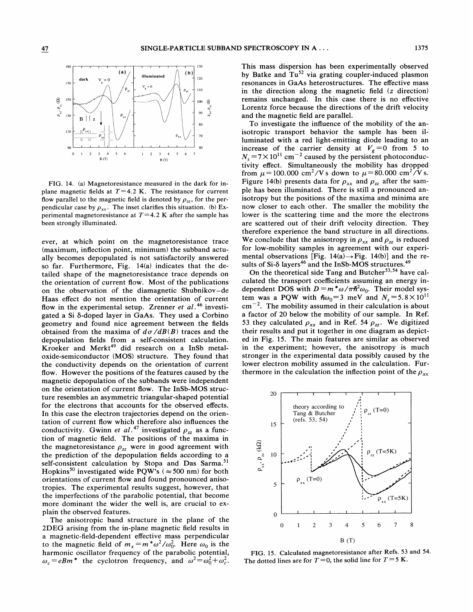

FIG. 14. (a) Magnetoresistance measured in the dark for inplane magnetic fields at  $T=4.2$  K. The resistance for current flow parallel to the magnetic field is denoted by  $\rho_{zz}$ , for the perpendicular case by  $\rho_{xx}$ . The inset clarifies this situation. (b) Experimental magnetoresistance at  $T=4.2$  K after the sample has been strongly illuminated.

ever, at which point on the magnetoresistance trace (maximum, inflection point, minimum) the subband actually becomes depopulated is not satisfactorily answered so far. Furthermore, Fig. 14(a) indicates that the detailed shape of the magnetoresistance trace depends on the orientation of current flow. Most of the publications on the observation of the diamagnetic Shubnikov —de Haas effect do not mention the orientation of current flow in the experimental setup. Zrenner et  $al.^{46}$  investigated a Si  $\delta$ -doped layer in GaAs. They used a Corbino geometry and found nice agreement between the fields obtained from the maxima of  $d\sigma/dB(B)$  traces and the depopulation fields from a self-consistent calculation. Kroeker and Merkt<sup>49</sup> did research on a InSb metaloxide-semiconductor (MOS) structure. They found that the conductivity depends on the orientation of current flow. However the positions of the features caused by the magnetic depopulation of the subbands were independent on the orientation of current flow. The InSb-MOS structure resembles an asymmetric triangular-shaped potential for the electrons that accounts for the observed effects. In this case the electron trajectories depend on the orientation of current flow which therefore also influences the conductivity. Gwinn *et al*.<sup>47</sup> investigated  $\rho_{zz}$  as a function of magnetic field. The positions of the maxima in the magnetoresistance  $\rho_{zz}$  were in good agreement with the prediction of the depopulation fields according to a self-consistent calculation by Stopa and Das Sarma.<sup>51</sup> Hopkins<sup>50</sup> investigated wide PQW's ( $\approx$  500 nm) for both orientations of current How and found pronounced anisotropies. The experimental results suggest, however, that the imperfections of the parabolic potential, that become more dominant the wider the well is, are crucial to explain the observed features.

The anisotropic band structure in the plane of the 2DEG arising from the in-plane magnetic field results in a magnetic-field-dependent effective mass perpendicular to the magnetic field of  $m_x = m^* \omega^2 / \omega_0^2$ . Here  $\omega_0$  is the harmonic oscillator frequency of the parabolic potential, marmome oscillator requency of the parabolic potential,<br> $\omega_c = eBm^*$  the cyclotron frequency, and  $\omega^2 = \omega_0^2 + \omega_c^2$ . This mass dispersion has been experimentally observed by Batke and  $Tu^{52}$  via grating coupler-induced plasmon resonances in GaAs heterostructures. The effective mass in the direction along the magnetic field (z direction) remains unchanged. In this case there is no effective Lorentz force because the directions of the drift velocity and the magnetic field are parallel.

To investigate the inhuence of the mobility of the anisotropic transport behavior the sample has been illuminated with a red light-emitting diode leading to an infinitive which is red light entiting divide realing to an<br>increase of the carrier density at  $V_g = 0$  from 5 to  $N_s = 7 \times 10^{11}$  cm<sup>-2</sup> caused by the persistent photoconductivity effect. Simultaneously the mobility has dropped from  $\mu$  = 100.000 cm<sup>2</sup>/Vs down to  $\mu$  = 80.000 cm<sup>2</sup>/Vs. Figure 14(b) presents data for  $\rho_{xx}$  and  $\rho_{zz}$  after the sample has been illuminated. There is still a pronounced anisotropy but the positions of the maxima and minima are now closer to each other. The smaller the mobility the lower is the scattering time and the more the electrons are scattered out of their drift velocity direction. They therefore experience the band structure in all directions. We conclude that the anisotropy in  $\rho_{xx}$  and  $\rho_{zz}$  is reduced for low-mobility samples in agreement with our experimental observations [Fig. 14(a)  $\rightarrow$  Fig. 14(b)] and the results of Si- $\delta$  layers<sup>46</sup> and the InSb-MOS structures.<sup>49</sup>

On the theoretical side Tang and Butcher<sup>53,54</sup> have calculated the transport coefficients assuming an energy independent DOS with  $D = m^* \omega / \pi h^2 \omega_0$ . Their model system was a PQW with  $\hbar \omega_0 = 3$  meV and  $N_s = 5.8 \times 10^{11}$  $cm^{-2}$ . The mobility assumed in their calculation is about a factor of 20 below the mobility of our sample. In Ref. 53 they calculated  $\rho_{xx}$  and in Ref. 54  $\rho_{zz}$ . We digitized their results and put it together in one diagram as depicted in Fig. 15. The main features are similar as observed in the experiment; however, the anisotropy is much stronger in the experimental data possibly caused by the lower electron mobility assumed in the calculation. Furthermore in the calculation the inflection point of the  $\rho_{xx}$ 



FIG. 15. Calculated magnetoresistance after Refs. 53 and 54. The dotted lines are for  $T = 0$ , the solid line for  $T = 5$  K.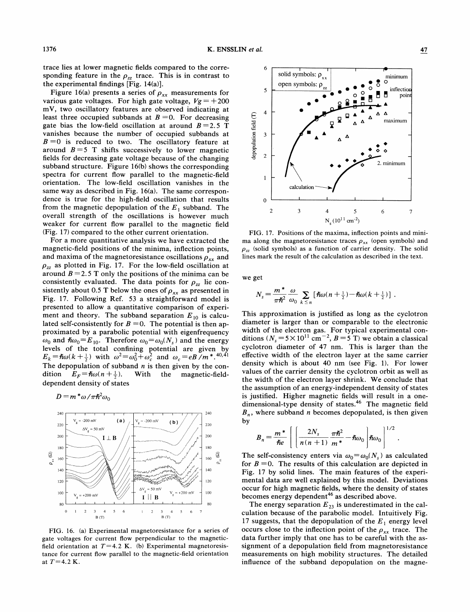trace lies at lower magnetic fields compared to the corresponding feature in the  $\rho_{zz}$  trace. This is in contrast to the experimental findings [Fig. 14(a)].

Figure 16(a) presents a series of  $\rho_{xx}$  measurements for various gate voltages. For high gate voltage,  $Vg = +200$ mV, two oscillatory features are observed indicating at least three occupied subbands at  $B = 0$ . For decreasing gate bias the low-field oscillation at around  $B=2.5$  T vanishes because the number of occupied subbands at  $B = 0$  is reduced to two. The oscillatory feature at around  $B=5$  T shifts successively to lower magnetic fields for decreasing gate voltage because of the changing subband structure. Figure 16(b) shows the corresponding spectra for current flow parallel to the magnetic-field orientation. The low-field oscillation vanishes in the same way as described in Fig. 16(a). The same correspondence is true for the high-field oscillation that results from the magnetic depopulation of the  $E_1$  subband. The overall strength of the oscillations is however much weaker for current flow parallel to the magnetic field (Fig. 17) compared to the other current orientation.

For a more quantitative analysis we have extracted the magnetic-field positions of the minima, inflection points, and maxima of the magnetoresistance oscillations  $\rho_{xx}$  and  $\rho_{zz}$  as plotted in Fig. 17. For the low-field oscillation at around  $B=2.5$  T only the positions of the minima can be consistently evaluated. The data points for  $\rho_{zz}$  lie consistently about 0.5 T below the ones of  $\rho_{xx}$  as presented in Fig. 17. Following Ref. 53 a straightforward model is presented to allow a quantitative comparison of experiment and theory. The subband separation  $E_{10}$  is calculated self-consistently for  $B = 0$ . The potential is then approximated by a parabolic potential with eigenfrequency  $\omega_0$  and  $\hbar \omega_0 = E_{10}$ . Therefore  $\omega_0 = \omega_0(N_s)$  and the energy levels of the total confining potential are given by  $E_k = \hbar \omega (k + \frac{1}{2})$  with  $\omega^2 = \omega_0^2 + \omega_c^2$  and  $\omega_c = eB/m^*$ .<sup>40,41</sup> The depopulation of subband  $n$  is then given by the condition  $E_F = \hbar \omega (n + \frac{1}{2})$ ). With the magnetic-fielddependent density of states

 $D = m^* \omega / \pi \hslash$ 



FIG. 16. (a) Experimental magnetoresistance for a series of gate voltages for current flow perpendicular to the magneticfield orientation at  $T=4.2$  K. (b) Experimental magnetoresistance for current flow parallel to the magnetic-field orientation at  $T=4.2$  K.



FIG. 17. Positions of the maxima, inflection points and minima along the magnetoresistance traces  $\rho_{xx}$  (open symbols) and  $\rho_{zz}$  (solid symbols) as a function of carrier density. The solid lines mark the result of the calculation as described in the text.

we get

$$
N_s = \frac{m^*}{\pi \hbar^2} \frac{\omega}{\omega_0} \sum_{k \leq n} \left[ \hbar \omega (n + \frac{1}{2}) - \hbar \omega (k + \frac{1}{2}) \right].
$$

This approximation is justified as long as the cyclotron diameter is larger than or comparable to the electronic width of the electron gas. For typical experimental con-<br>ditions  $(N_s = 5 \times 10^{11} \text{ cm}^{-2}, B = 5 \text{ T})$  we obtain a classical cyclotron diameter of 47 nm. This is larger than the effective width of the electron layer at the same carrier density which is about 40 nm (see Fig. 1). For lower values of the carrier density the cyclotron orbit as well as the width of the electron layer shrink. We conclude that the assumption of an energy-independent density of states is justified. Higher magnetic fields will result in a onedimensional-type density of states.<sup>46</sup> The magnetic field  $B_n$ , where subband *n* becomes depopulated, is then given by

$$
B_n = \frac{m^*}{\hbar e} \left[ \left( \frac{2N_s}{n(n+1)} \frac{\pi \hbar^2}{m^*} - \hbar \omega_0 \right) \hbar \omega_0 \right]^{1/2}
$$

The self-consistency enters via  $\omega_0 = \omega_0(N_s)$  as calculated for  $B = 0$ . The results of this calculation are depicted in Fig. 17 by solid lines. The main features of the experimental data are well explained by this model. Deviations occur for high magnetic fields, where the density of states becomes energy dependent<sup>46</sup> as described above.

The energy separation  $E_{23}$  is underestimated in the calculation because of the parabolic model. Intuitively Fig. 17 suggests, that the depopulation of the  $E_1$  energy level occurs close to the inflection point of the  $\rho_{xx}$  trace. The data further imply that one has to be careful with the assignment of a depopulation field from magnetoresistance measurements on high mobility structures. The detailed influence of the subband depopulation on the magne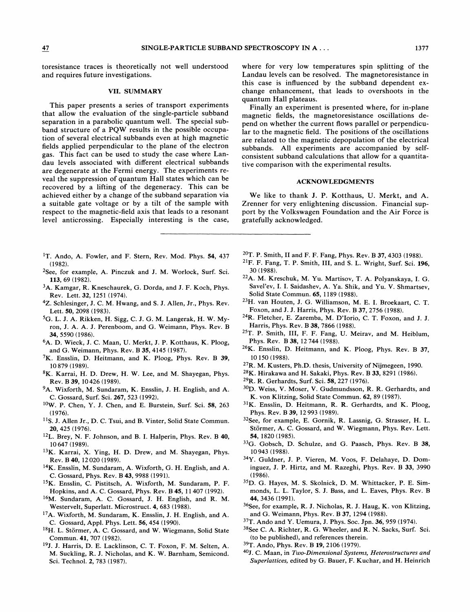toresistance traces is theoretically not well understood and requires future investigations.

#### VII. SUMMARY

This paper presents a series of transport experiments that allow the evaluation of the single-particle subband separation in a parabolic quantum well. The special subband structure of a PQW results in the possible occupation of several electrical subbands even at high magnetic fields applied perpendicular to the plane of the electron gas. This fact can be used to study the case where Landau levels associated with different electrical subbands are degenerate at the Fermi energy. The experiments reveal the suppression of quantum Hall states which can be recovered by a lifting of the degeneracy. This can be achieved either by a change of the subband separation via a suitable gate voltage or by a tilt of the sample with respect to the magnetic-field axis that leads to a resonant level anticrossing. Especially interesting is the case,

- <sup>1</sup>T. Ando, A. Fowler, and F. Stern, Rev. Mod. Phys. 54, 437 (1982).
- <sup>2</sup>See, for example, A. Pinczuk and J. M. Worlock, Surf. Sci. 113,69 (1982).
- 3A. Kamgar, R. Kneschaurek, G. Dorda, and J. F. Koch, Phys. Rev. Lett. 32, 1251 (1974).
- 4Z. Schlesinger, J. C. M. Hwang, and S.J. Allen, Jr., Phys. Rev. Lett. 50, 2098 (1983).
- 5G. L. J. A. Rikken, H. Sigg, C. J. G. M. Langerak, H. W. Myron, J. A. A. J. Perenboom, and G. Weimann, Phys. Rev. B 34, 5590 (1986).
- <sup>6</sup>A. D. Wieck, J. C. Maan, U. Merkt, J. P. Kotthaus, K. Ploog, and G. Weimann, Phys. Rev. B 35, 4145 (1987).
- 7K. Ensslin, D. Heitmann, and K. Ploog, Phys. Rev. B 39, 10 879 (1989).
- 8K. Karrai, H. D. Drew, H. W. Lee, and M. Shayegan, Phys. Rev. B39, 10426 (1989).
- <sup>9</sup>A. Wixforth, M. Sundaram, K. Ensslin, J. H. English, and A. C. Gossard, Surf. Sci. 267, 523 (1992).
- W. P. Chen, Y. J. Chen, and E. Burstein, Surf. Sci. 58, 263 (1976).
- <sup>11</sup>S. J. Allen Jr., D. C. Tsui, and B. Vinter, Solid State Commun. 20, 425 (1976).
- <sup>12</sup>L. Brey, N. F. Johnson, and B. I. Halperin, Phys. Rev. B 40, 10 647 (1989).
- <sup>13</sup>K. Karrai, X. Ying, H. D. Drew, and M. Shayegan, Phys. Rev. B40, 12020 (1989).
- $^{14}$ K. Ensslin, M. Sundaram, A. Wixforth, G. H. English, and A. C. Gossard, Phys. Rev. B43, 9988 (1991).
- <sup>15</sup>K. Ensslin, C. Pistitsch, A. Wixforth, M. Sundaram, P. F. Hopkins, and A. C. Gossard, Phys. Rev. B45, 11407 (1992).
- 16M. Sundaram, A. C. Gossard, J. H. English, and R. M. Westervelt, Superlatt. Microstruct. 4, 683 (1988).
- 17A. Wixforth, M. Sundaram, K. Ensslin, J. H. English, and A. C. Gossard, Appl. Phys. Lett. 56, 454 (1990).
- <sup>18</sup>H. L. Störmer, A. C. Gossard, and W. Wiegmann, Solid State Commun. 41, 707 (1982).
- <sup>19</sup>J. J. Harris, D. E. Lacklinson, C. T. Foxon, F. M. Selten, A. M. Suckling, R. J. Nicholas, and K. W. Barnham, Semicond. Sci. Technol. 2, 783 (1987).

where for very low temperatures spin splitting of the Landau levels can be resolved. The magnetoresistance in this case is influenced by the subband dependent exchange enhancement, that leads to overshoots in the quantum Hall plateaus.

Finally an experiment is presented where, for in-plane magnetic fields, the magnetoresistance oscillations depend on whether the current flows parallel or perpendicular to the magnetic field. The positions of the oscillations are related to the magnetic depopulation of the electrical subbands. All experiments are accompanied by selfconsistent subband calculations that allow for a quantitative comparison with the experimental results.

# ACKNOWLEDGMENTS

We like to thank J. P. Kotthaus, U. Merkt, and A. Zrenner for very enlightening discussion. Financial support by the Volkswagen Foundation and the Air Force is gratefully acknowledged.

- $20$ T. P. Smith, II and F. F. Fang, Phys. Rev. B 37, 4303 (1988).
- $^{21}$ F. F. Fang, T. P. Smith, III, and S. L. Wright, Surf. Sci. 196, 30 (1988).
- <sup>22</sup>A. M. Kreschuk, M. Yu. Martisov, T. A. Polyanskaya, I. G. Savel'ev, I. I. Saidashev, A. Ya. Shik, and Yu. V. Shmartsev, Solid State Commun. 65, 1189 (1988}.
- <sup>23</sup>H. van Houten, J. G. Williamson, M. E. I. Broekaart, C. T. Foxon, and J.J. Harris, Phys. Rev. B 37, 2756 (1988).
- <sup>24</sup>R. Fletcher, E. Zaremba, M. D'Iorio, C. T. Foxon, and J. J. Harris, Phys. Rev. B 38, 7866 (1988).
- 25T. P. Smith, III, F. F. Fang, U. Meirav, and M. Heiblum, Phys. Rev. B 38, 12744 (1988).
- $26K$ . Ensslin, D. Heitmann, and K. Ploog, Phys. Rev. B 37, 10 150 (1988).
- <sup>27</sup>R. M. Kusters, Ph.D. thesis, University of Nijmegeen, 1990.
- <sup>28</sup>K. Hirakawa and H. Sakaki, Phys. Rev. B 33, 8291 (1986).
- R. R. Gerhardts, Surf. Sci. 58, 227 (1976).
- <sup>30</sup>D. Weiss, V. Moser, V. Gudmundsson, R. R. Gerhardts, and K. von Klitzing, Solid State Commun. 62, 89 (1987).
- $31$ K. Ensslin, D. Heitmann, R. R. Gerhardts, and K. Ploog, Phys. Rev. B 39, 12 993 (1989).
- <sup>32</sup>See, for example, E. Gornik, R. Lassnig, G. Strasser, H. L. Störmer, A. C. Gossard, and W. Wiegmann, Phys. Rev. Lett. 54, 1820 (1985).
- <sup>33</sup>G. Gobsch, D. Schulze, and G. Paasch, Phys. Rev. B 38, 10943 (1988).
- 34Y. Guldner, J. P. Vieren, M. Voos, F. Delahaye, D. Dominguez, J. P. Hirtz, and M. Razeghi, Phys. Rev. B 33, 3990 (1986).
- 35D. G. Hayes, M. S. Skolnick, D. M. Whittacker, P. E. Simmonds, L. L. Taylor, S. J. Bass, and L. Eaves, Phys. Rev. B 44, 3436 (1991).
- <sup>36</sup>See, for example, R. J. Nicholas, R. J. Haug, K. von Klitzing, and G. Weimann, Phys. Rev. B 37, 1294 (1988).
- 37T. Ando and Y. Uemura, J. Phys. Soc. Jpn. 36, 959 (1974).
- <sup>38</sup>See C. A. Richter, R. G. Wheeler, and R. N. Sacks, Surf. Sci. (to be published}, and references therein.
- <sup>39</sup>T. Ando, Phys. Rev. B 19, 2106 (1979).
- $^{40}$  J. C. Maan, in Two-Dimensional Systems, Heterostructures and Superlattices, edited by G. Bauer, F. Kuchar, and H. Heinrich